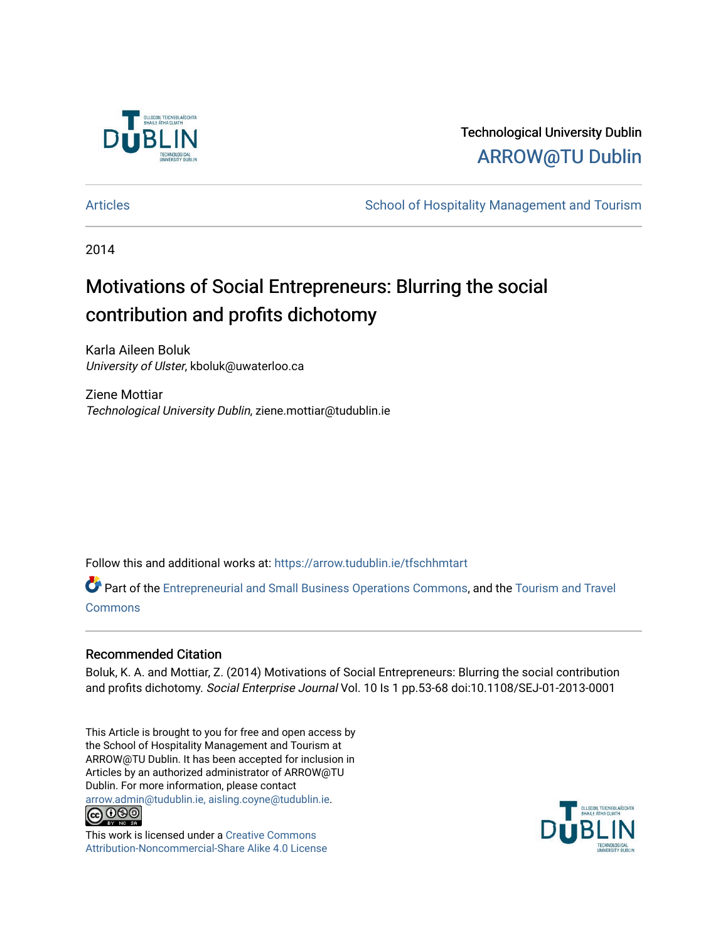

# Technological University Dublin [ARROW@TU Dublin](https://arrow.tudublin.ie/)

[Articles](https://arrow.tudublin.ie/tfschhmtart) **School of Hospitality Management and Tourism** School of Hospitality Management and Tourism

2014

# Motivations of Social Entrepreneurs: Blurring the social contribution and profits dichotomy

Karla Aileen Boluk University of Ulster, kboluk@uwaterloo.ca

Ziene Mottiar Technological University Dublin, ziene.mottiar@tudublin.ie

Follow this and additional works at: [https://arrow.tudublin.ie/tfschhmtart](https://arrow.tudublin.ie/tfschhmtart?utm_source=arrow.tudublin.ie%2Ftfschhmtart%2F62&utm_medium=PDF&utm_campaign=PDFCoverPages) 

Part of the [Entrepreneurial and Small Business Operations Commons,](http://network.bepress.com/hgg/discipline/630?utm_source=arrow.tudublin.ie%2Ftfschhmtart%2F62&utm_medium=PDF&utm_campaign=PDFCoverPages) and the [Tourism and Travel](http://network.bepress.com/hgg/discipline/1082?utm_source=arrow.tudublin.ie%2Ftfschhmtart%2F62&utm_medium=PDF&utm_campaign=PDFCoverPages) [Commons](http://network.bepress.com/hgg/discipline/1082?utm_source=arrow.tudublin.ie%2Ftfschhmtart%2F62&utm_medium=PDF&utm_campaign=PDFCoverPages)

# Recommended Citation

Boluk, K. A. and Mottiar, Z. (2014) Motivations of Social Entrepreneurs: Blurring the social contribution and profits dichotomy. Social Enterprise Journal Vol. 10 Is 1 pp.53-68 doi:10.1108/SEJ-01-2013-0001

This Article is brought to you for free and open access by the School of Hospitality Management and Tourism at ARROW@TU Dublin. It has been accepted for inclusion in Articles by an authorized administrator of ARROW@TU Dublin. For more information, please contact [arrow.admin@tudublin.ie, aisling.coyne@tudublin.ie](mailto:arrow.admin@tudublin.ie,%20aisling.coyne@tudublin.ie).<br>
co 000



This work is licensed under a [Creative Commons](http://creativecommons.org/licenses/by-nc-sa/4.0/) [Attribution-Noncommercial-Share Alike 4.0 License](http://creativecommons.org/licenses/by-nc-sa/4.0/)

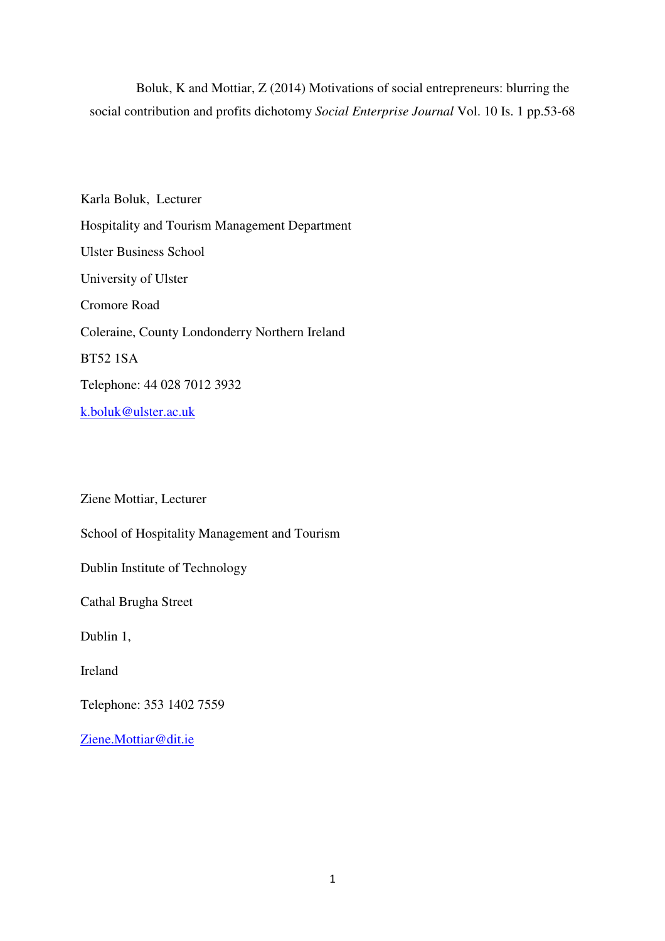Boluk, K and Mottiar, Z (2014) Motivations of social entrepreneurs: blurring the social contribution and profits dichotomy *Social Enterprise Journal* Vol. 10 Is. 1 pp.53-68

Karla Boluk, Lecturer Hospitality and Tourism Management Department Ulster Business School University of Ulster Cromore Road Coleraine, County Londonderry Northern Ireland BT52 1SA Telephone: 44 028 7012 3932 k.boluk@ulster.ac.uk

Ziene Mottiar, Lecturer

School of Hospitality Management and Tourism

Dublin Institute of Technology

Cathal Brugha Street

Dublin 1,

Ireland

Telephone: 353 1402 7559

Ziene.Mottiar@dit.ie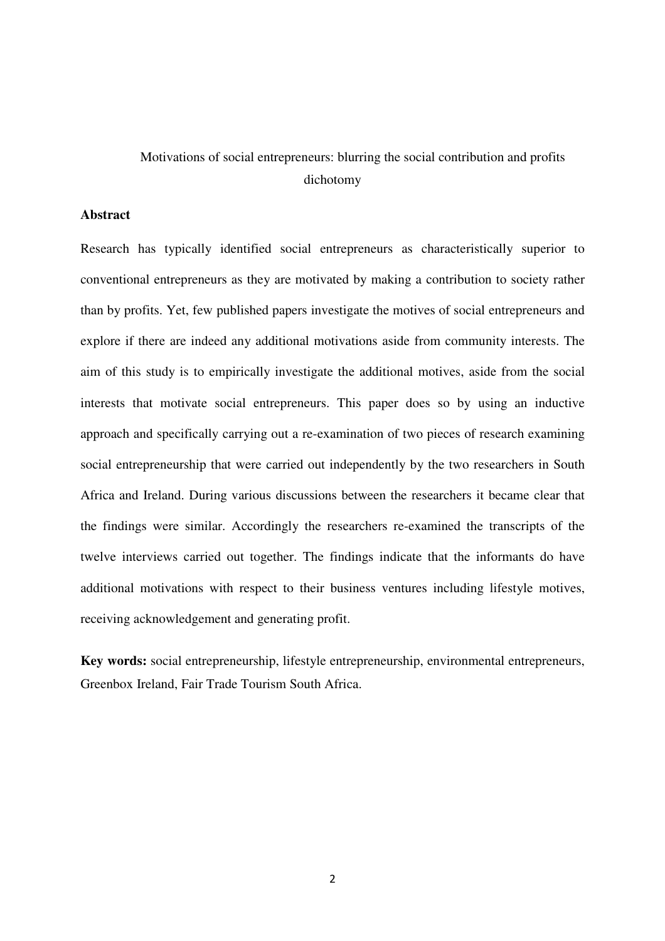# Motivations of social entrepreneurs: blurring the social contribution and profits dichotomy

## **Abstract**

Research has typically identified social entrepreneurs as characteristically superior to conventional entrepreneurs as they are motivated by making a contribution to society rather than by profits. Yet, few published papers investigate the motives of social entrepreneurs and explore if there are indeed any additional motivations aside from community interests. The aim of this study is to empirically investigate the additional motives, aside from the social interests that motivate social entrepreneurs. This paper does so by using an inductive approach and specifically carrying out a re-examination of two pieces of research examining social entrepreneurship that were carried out independently by the two researchers in South Africa and Ireland. During various discussions between the researchers it became clear that the findings were similar. Accordingly the researchers re-examined the transcripts of the twelve interviews carried out together. The findings indicate that the informants do have additional motivations with respect to their business ventures including lifestyle motives, receiving acknowledgement and generating profit.

**Key words:** social entrepreneurship, lifestyle entrepreneurship, environmental entrepreneurs, Greenbox Ireland, Fair Trade Tourism South Africa.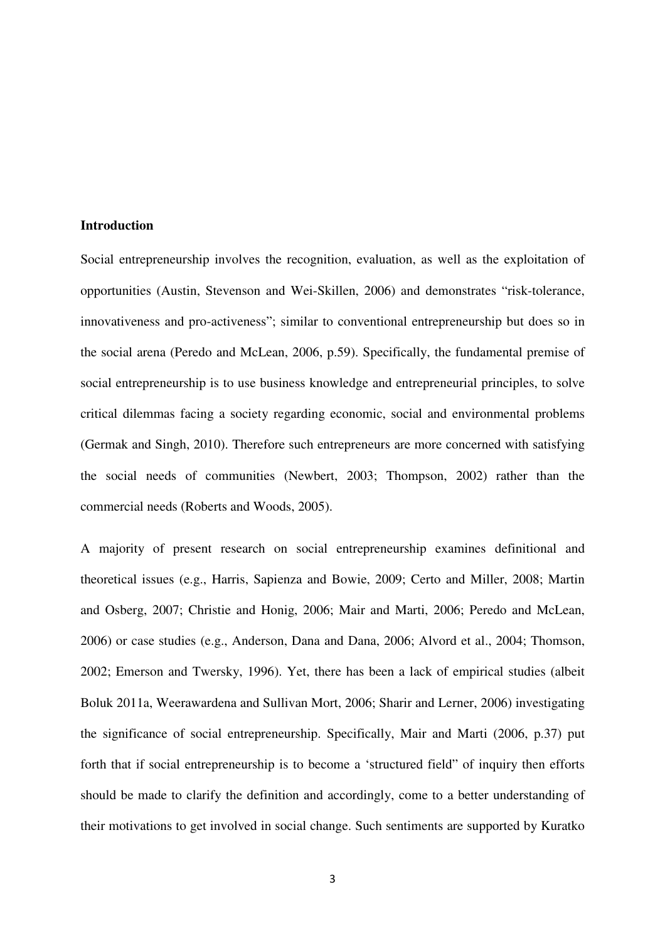#### **Introduction**

Social entrepreneurship involves the recognition, evaluation, as well as the exploitation of opportunities (Austin, Stevenson and Wei-Skillen, 2006) and demonstrates "risk-tolerance, innovativeness and pro-activeness"; similar to conventional entrepreneurship but does so in the social arena (Peredo and McLean, 2006, p.59). Specifically, the fundamental premise of social entrepreneurship is to use business knowledge and entrepreneurial principles, to solve critical dilemmas facing a society regarding economic, social and environmental problems (Germak and Singh, 2010). Therefore such entrepreneurs are more concerned with satisfying the social needs of communities (Newbert, 2003; Thompson, 2002) rather than the commercial needs (Roberts and Woods, 2005).

A majority of present research on social entrepreneurship examines definitional and theoretical issues (e.g., Harris, Sapienza and Bowie, 2009; Certo and Miller, 2008; Martin and Osberg, 2007; Christie and Honig, 2006; Mair and Marti, 2006; Peredo and McLean, 2006) or case studies (e.g., Anderson, Dana and Dana, 2006; Alvord et al., 2004; Thomson, 2002; Emerson and Twersky, 1996). Yet, there has been a lack of empirical studies (albeit Boluk 2011a, Weerawardena and Sullivan Mort, 2006; Sharir and Lerner, 2006) investigating the significance of social entrepreneurship. Specifically, Mair and Marti (2006, p.37) put forth that if social entrepreneurship is to become a 'structured field" of inquiry then efforts should be made to clarify the definition and accordingly, come to a better understanding of their motivations to get involved in social change. Such sentiments are supported by Kuratko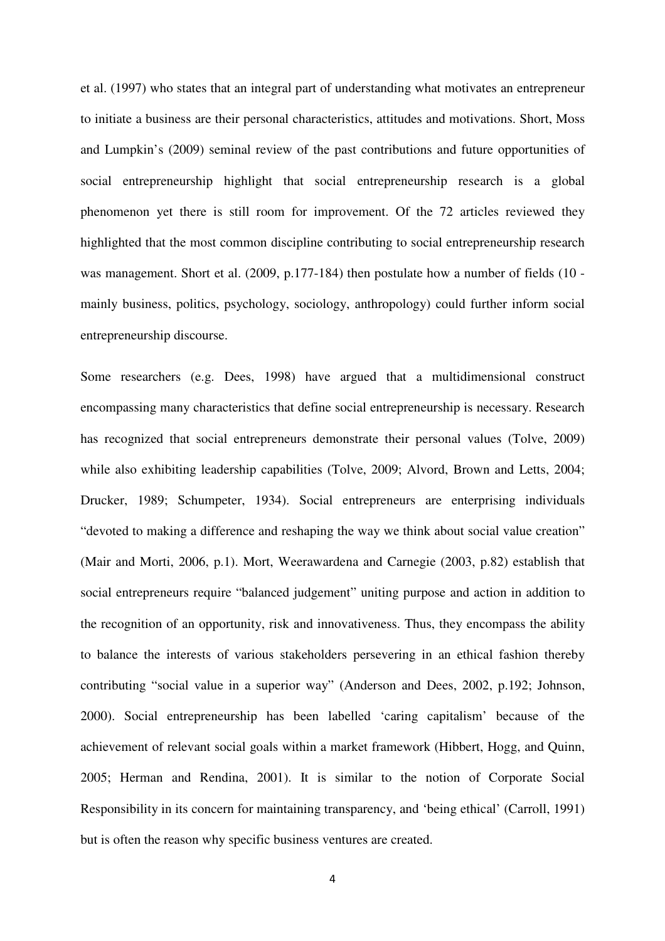et al. (1997) who states that an integral part of understanding what motivates an entrepreneur to initiate a business are their personal characteristics, attitudes and motivations. Short, Moss and Lumpkin's (2009) seminal review of the past contributions and future opportunities of social entrepreneurship highlight that social entrepreneurship research is a global phenomenon yet there is still room for improvement. Of the 72 articles reviewed they highlighted that the most common discipline contributing to social entrepreneurship research was management. Short et al. (2009, p.177-184) then postulate how a number of fields (10 mainly business, politics, psychology, sociology, anthropology) could further inform social entrepreneurship discourse.

Some researchers (e.g. Dees, 1998) have argued that a multidimensional construct encompassing many characteristics that define social entrepreneurship is necessary. Research has recognized that social entrepreneurs demonstrate their personal values (Tolve, 2009) while also exhibiting leadership capabilities (Tolve, 2009; Alvord, Brown and Letts, 2004; Drucker, 1989; Schumpeter, 1934). Social entrepreneurs are enterprising individuals "devoted to making a difference and reshaping the way we think about social value creation" (Mair and Morti, 2006, p.1). Mort, Weerawardena and Carnegie (2003, p.82) establish that social entrepreneurs require "balanced judgement" uniting purpose and action in addition to the recognition of an opportunity, risk and innovativeness. Thus, they encompass the ability to balance the interests of various stakeholders persevering in an ethical fashion thereby contributing "social value in a superior way" (Anderson and Dees, 2002, p.192; Johnson, 2000). Social entrepreneurship has been labelled 'caring capitalism' because of the achievement of relevant social goals within a market framework (Hibbert, Hogg, and Quinn, 2005; Herman and Rendina, 2001). It is similar to the notion of Corporate Social Responsibility in its concern for maintaining transparency, and 'being ethical' (Carroll, 1991) but is often the reason why specific business ventures are created.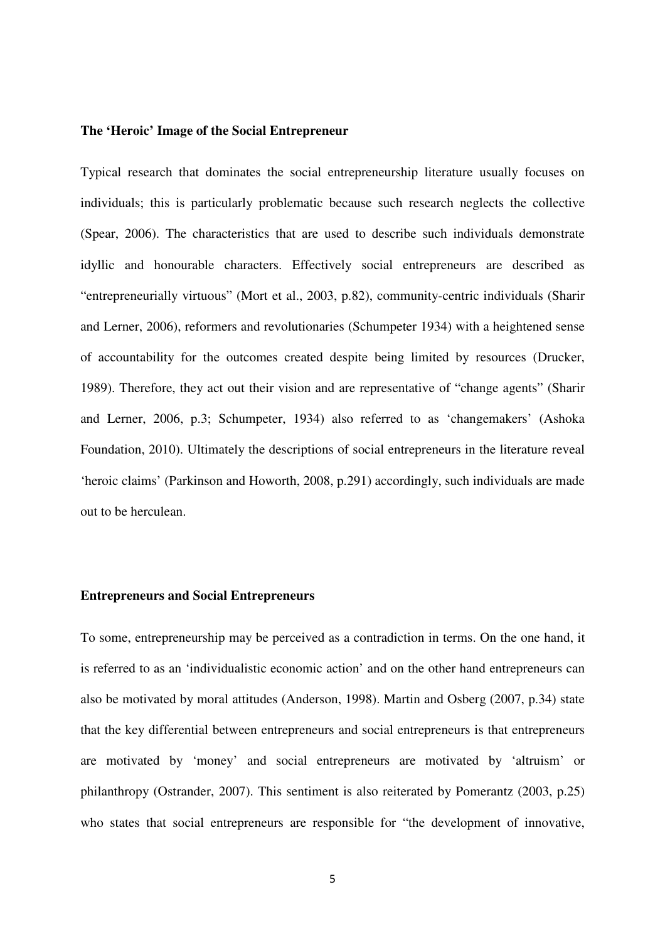#### **The 'Heroic' Image of the Social Entrepreneur**

Typical research that dominates the social entrepreneurship literature usually focuses on individuals; this is particularly problematic because such research neglects the collective (Spear, 2006). The characteristics that are used to describe such individuals demonstrate idyllic and honourable characters. Effectively social entrepreneurs are described as "entrepreneurially virtuous" (Mort et al., 2003, p.82), community-centric individuals (Sharir and Lerner, 2006), reformers and revolutionaries (Schumpeter 1934) with a heightened sense of accountability for the outcomes created despite being limited by resources (Drucker, 1989). Therefore, they act out their vision and are representative of "change agents" (Sharir and Lerner, 2006, p.3; Schumpeter, 1934) also referred to as 'changemakers' (Ashoka Foundation, 2010). Ultimately the descriptions of social entrepreneurs in the literature reveal 'heroic claims' (Parkinson and Howorth, 2008, p.291) accordingly, such individuals are made out to be herculean.

#### **Entrepreneurs and Social Entrepreneurs**

To some, entrepreneurship may be perceived as a contradiction in terms. On the one hand, it is referred to as an 'individualistic economic action' and on the other hand entrepreneurs can also be motivated by moral attitudes (Anderson, 1998). Martin and Osberg (2007, p.34) state that the key differential between entrepreneurs and social entrepreneurs is that entrepreneurs are motivated by 'money' and social entrepreneurs are motivated by 'altruism' or philanthropy (Ostrander, 2007). This sentiment is also reiterated by Pomerantz (2003, p.25) who states that social entrepreneurs are responsible for "the development of innovative,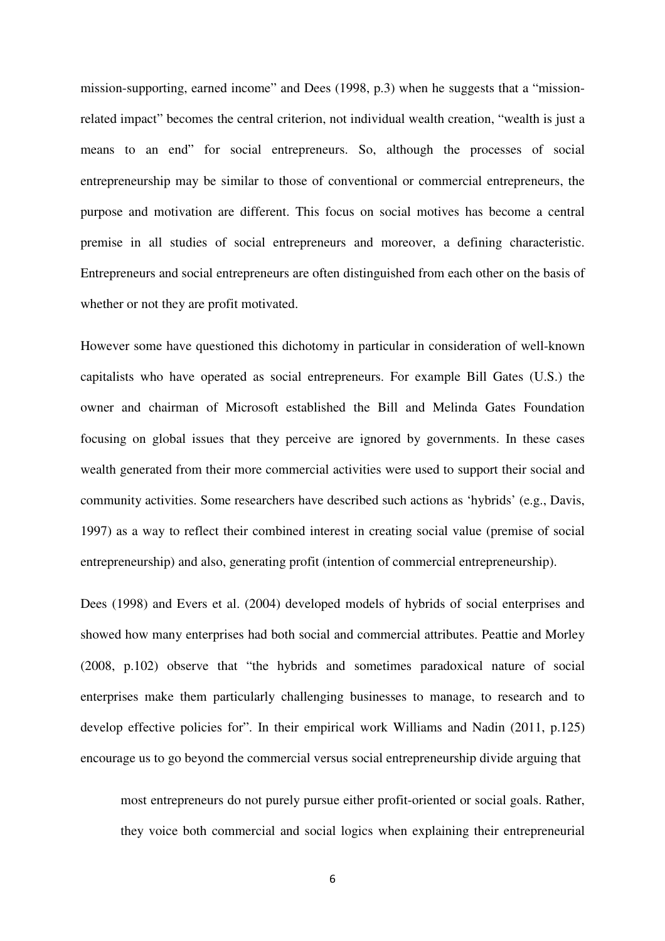mission-supporting, earned income" and Dees (1998, p.3) when he suggests that a "missionrelated impact" becomes the central criterion, not individual wealth creation, "wealth is just a means to an end" for social entrepreneurs. So, although the processes of social entrepreneurship may be similar to those of conventional or commercial entrepreneurs, the purpose and motivation are different. This focus on social motives has become a central premise in all studies of social entrepreneurs and moreover, a defining characteristic. Entrepreneurs and social entrepreneurs are often distinguished from each other on the basis of whether or not they are profit motivated.

However some have questioned this dichotomy in particular in consideration of well-known capitalists who have operated as social entrepreneurs. For example Bill Gates (U.S.) the owner and chairman of Microsoft established the Bill and Melinda Gates Foundation focusing on global issues that they perceive are ignored by governments. In these cases wealth generated from their more commercial activities were used to support their social and community activities. Some researchers have described such actions as 'hybrids' (e.g., Davis, 1997) as a way to reflect their combined interest in creating social value (premise of social entrepreneurship) and also, generating profit (intention of commercial entrepreneurship).

Dees (1998) and Evers et al. (2004) developed models of hybrids of social enterprises and showed how many enterprises had both social and commercial attributes. Peattie and Morley (2008, p.102) observe that "the hybrids and sometimes paradoxical nature of social enterprises make them particularly challenging businesses to manage, to research and to develop effective policies for". In their empirical work Williams and Nadin (2011, p.125) encourage us to go beyond the commercial versus social entrepreneurship divide arguing that

most entrepreneurs do not purely pursue either profit-oriented or social goals. Rather, they voice both commercial and social logics when explaining their entrepreneurial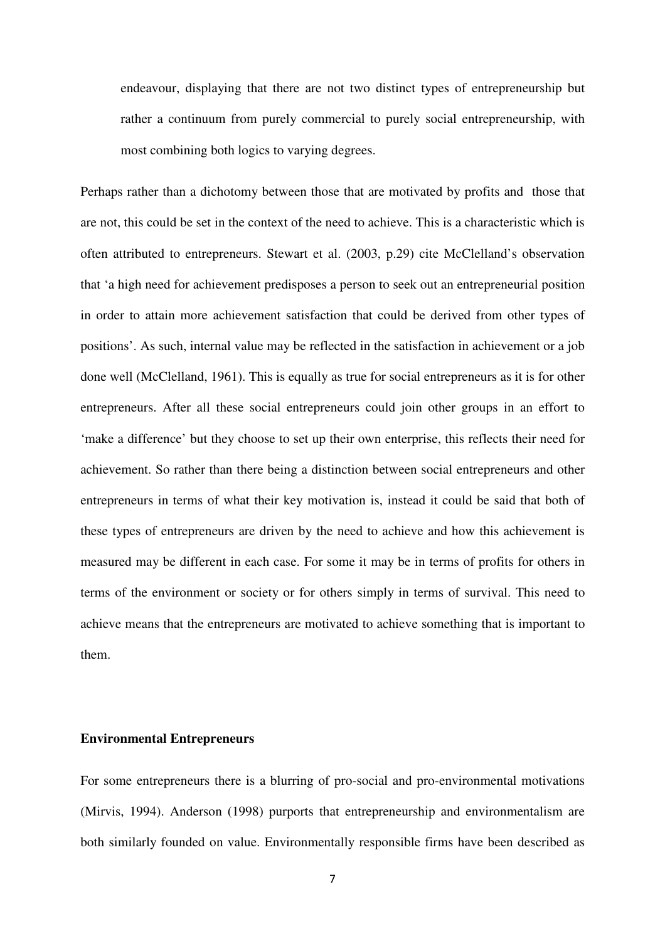endeavour, displaying that there are not two distinct types of entrepreneurship but rather a continuum from purely commercial to purely social entrepreneurship, with most combining both logics to varying degrees.

Perhaps rather than a dichotomy between those that are motivated by profits and those that are not, this could be set in the context of the need to achieve. This is a characteristic which is often attributed to entrepreneurs. Stewart et al. (2003, p.29) cite McClelland's observation that 'a high need for achievement predisposes a person to seek out an entrepreneurial position in order to attain more achievement satisfaction that could be derived from other types of positions'. As such, internal value may be reflected in the satisfaction in achievement or a job done well (McClelland, 1961). This is equally as true for social entrepreneurs as it is for other entrepreneurs. After all these social entrepreneurs could join other groups in an effort to 'make a difference' but they choose to set up their own enterprise, this reflects their need for achievement. So rather than there being a distinction between social entrepreneurs and other entrepreneurs in terms of what their key motivation is, instead it could be said that both of these types of entrepreneurs are driven by the need to achieve and how this achievement is measured may be different in each case. For some it may be in terms of profits for others in terms of the environment or society or for others simply in terms of survival. This need to achieve means that the entrepreneurs are motivated to achieve something that is important to them.

#### **Environmental Entrepreneurs**

For some entrepreneurs there is a blurring of pro-social and pro-environmental motivations (Mirvis, 1994). Anderson (1998) purports that entrepreneurship and environmentalism are both similarly founded on value. Environmentally responsible firms have been described as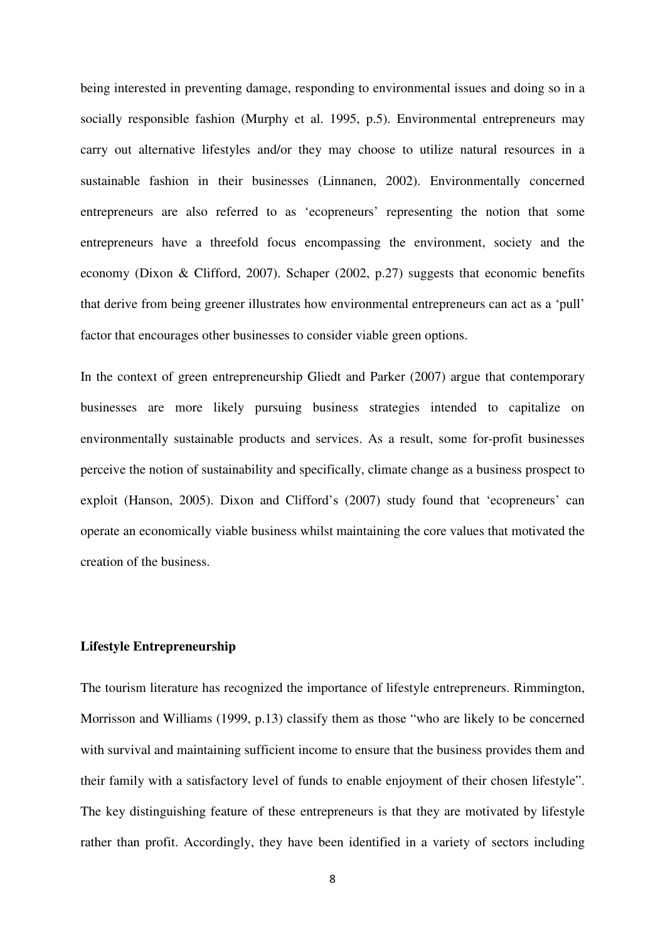being interested in preventing damage, responding to environmental issues and doing so in a socially responsible fashion (Murphy et al. 1995, p.5). Environmental entrepreneurs may carry out alternative lifestyles and/or they may choose to utilize natural resources in a sustainable fashion in their businesses (Linnanen, 2002). Environmentally concerned entrepreneurs are also referred to as 'ecopreneurs' representing the notion that some entrepreneurs have a threefold focus encompassing the environment, society and the economy (Dixon & Clifford, 2007). Schaper (2002, p.27) suggests that economic benefits that derive from being greener illustrates how environmental entrepreneurs can act as a 'pull' factor that encourages other businesses to consider viable green options.

In the context of green entrepreneurship Gliedt and Parker (2007) argue that contemporary businesses are more likely pursuing business strategies intended to capitalize on environmentally sustainable products and services. As a result, some for-profit businesses perceive the notion of sustainability and specifically, climate change as a business prospect to exploit (Hanson, 2005). Dixon and Clifford's (2007) study found that 'ecopreneurs' can operate an economically viable business whilst maintaining the core values that motivated the creation of the business.

#### **Lifestyle Entrepreneurship**

The tourism literature has recognized the importance of lifestyle entrepreneurs. Rimmington, Morrisson and Williams (1999, p.13) classify them as those "who are likely to be concerned with survival and maintaining sufficient income to ensure that the business provides them and their family with a satisfactory level of funds to enable enjoyment of their chosen lifestyle". The key distinguishing feature of these entrepreneurs is that they are motivated by lifestyle rather than profit. Accordingly, they have been identified in a variety of sectors including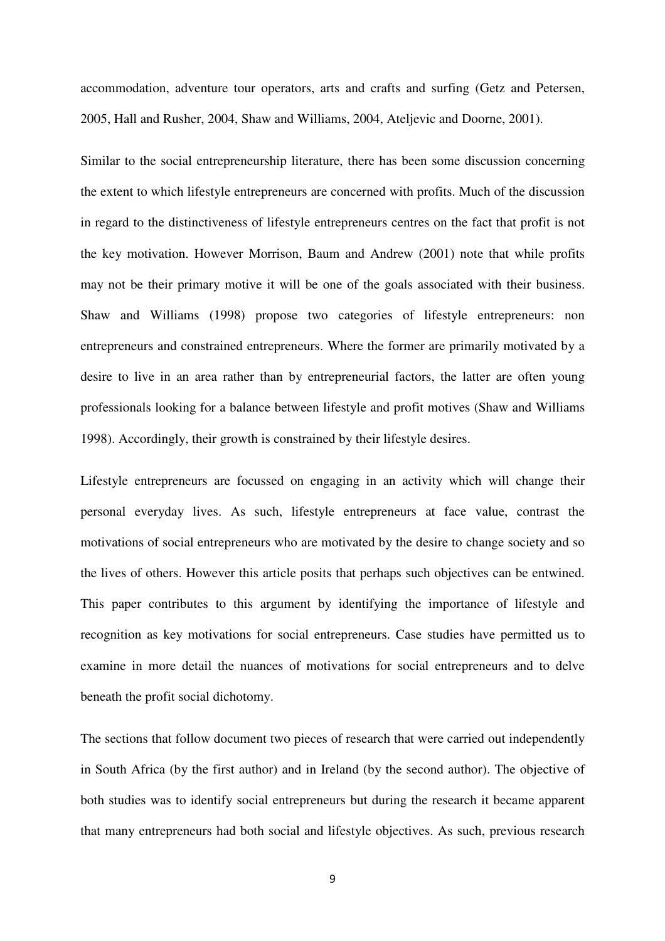accommodation, adventure tour operators, arts and crafts and surfing (Getz and Petersen, 2005, Hall and Rusher, 2004, Shaw and Williams, 2004, Ateljevic and Doorne, 2001).

Similar to the social entrepreneurship literature, there has been some discussion concerning the extent to which lifestyle entrepreneurs are concerned with profits. Much of the discussion in regard to the distinctiveness of lifestyle entrepreneurs centres on the fact that profit is not the key motivation. However Morrison, Baum and Andrew (2001) note that while profits may not be their primary motive it will be one of the goals associated with their business. Shaw and Williams (1998) propose two categories of lifestyle entrepreneurs: non entrepreneurs and constrained entrepreneurs. Where the former are primarily motivated by a desire to live in an area rather than by entrepreneurial factors, the latter are often young professionals looking for a balance between lifestyle and profit motives (Shaw and Williams 1998). Accordingly, their growth is constrained by their lifestyle desires.

Lifestyle entrepreneurs are focussed on engaging in an activity which will change their personal everyday lives. As such, lifestyle entrepreneurs at face value, contrast the motivations of social entrepreneurs who are motivated by the desire to change society and so the lives of others. However this article posits that perhaps such objectives can be entwined. This paper contributes to this argument by identifying the importance of lifestyle and recognition as key motivations for social entrepreneurs. Case studies have permitted us to examine in more detail the nuances of motivations for social entrepreneurs and to delve beneath the profit social dichotomy.

The sections that follow document two pieces of research that were carried out independently in South Africa (by the first author) and in Ireland (by the second author). The objective of both studies was to identify social entrepreneurs but during the research it became apparent that many entrepreneurs had both social and lifestyle objectives. As such, previous research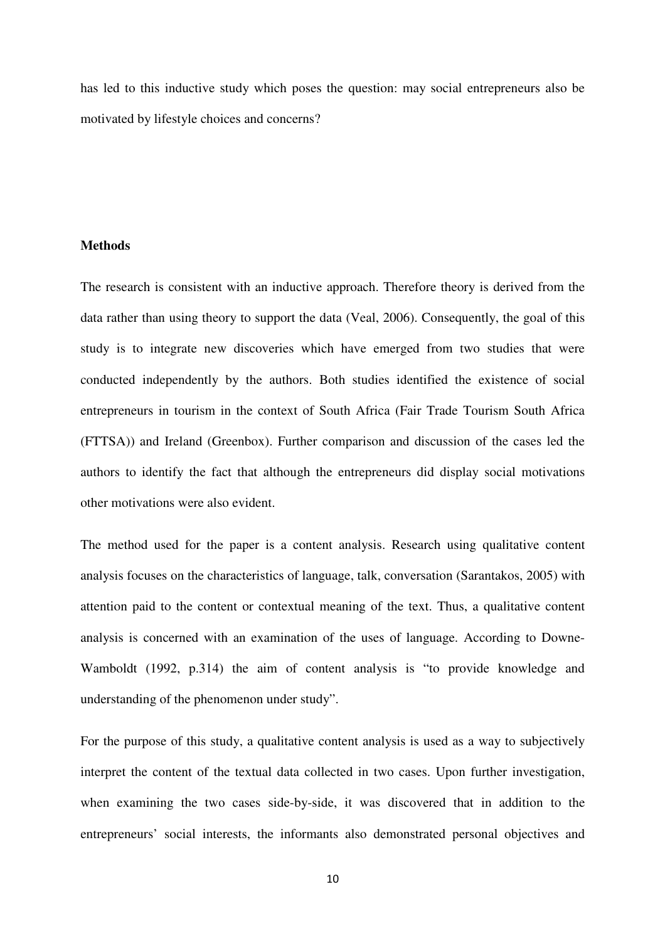has led to this inductive study which poses the question: may social entrepreneurs also be motivated by lifestyle choices and concerns?

#### **Methods**

The research is consistent with an inductive approach. Therefore theory is derived from the data rather than using theory to support the data (Veal, 2006). Consequently, the goal of this study is to integrate new discoveries which have emerged from two studies that were conducted independently by the authors. Both studies identified the existence of social entrepreneurs in tourism in the context of South Africa (Fair Trade Tourism South Africa (FTTSA)) and Ireland (Greenbox). Further comparison and discussion of the cases led the authors to identify the fact that although the entrepreneurs did display social motivations other motivations were also evident.

The method used for the paper is a content analysis. Research using qualitative content analysis focuses on the characteristics of language, talk, conversation (Sarantakos, 2005) with attention paid to the content or contextual meaning of the text. Thus, a qualitative content analysis is concerned with an examination of the uses of language. According to Downe-Wamboldt (1992, p.314) the aim of content analysis is "to provide knowledge and understanding of the phenomenon under study".

For the purpose of this study, a qualitative content analysis is used as a way to subjectively interpret the content of the textual data collected in two cases. Upon further investigation, when examining the two cases side-by-side, it was discovered that in addition to the entrepreneurs' social interests, the informants also demonstrated personal objectives and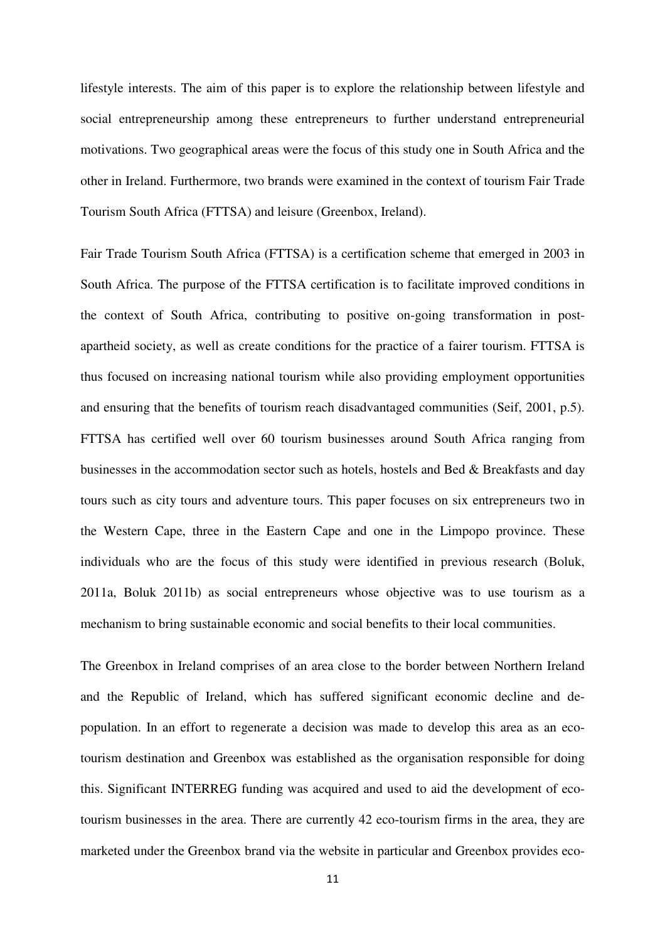lifestyle interests. The aim of this paper is to explore the relationship between lifestyle and social entrepreneurship among these entrepreneurs to further understand entrepreneurial motivations. Two geographical areas were the focus of this study one in South Africa and the other in Ireland. Furthermore, two brands were examined in the context of tourism Fair Trade Tourism South Africa (FTTSA) and leisure (Greenbox, Ireland).

Fair Trade Tourism South Africa (FTTSA) is a certification scheme that emerged in 2003 in South Africa. The purpose of the FTTSA certification is to facilitate improved conditions in the context of South Africa, contributing to positive on-going transformation in postapartheid society, as well as create conditions for the practice of a fairer tourism. FTTSA is thus focused on increasing national tourism while also providing employment opportunities and ensuring that the benefits of tourism reach disadvantaged communities (Seif, 2001, p.5). FTTSA has certified well over 60 tourism businesses around South Africa ranging from businesses in the accommodation sector such as hotels, hostels and Bed & Breakfasts and day tours such as city tours and adventure tours. This paper focuses on six entrepreneurs two in the Western Cape, three in the Eastern Cape and one in the Limpopo province. These individuals who are the focus of this study were identified in previous research (Boluk, 2011a, Boluk 2011b) as social entrepreneurs whose objective was to use tourism as a mechanism to bring sustainable economic and social benefits to their local communities.

The Greenbox in Ireland comprises of an area close to the border between Northern Ireland and the Republic of Ireland, which has suffered significant economic decline and depopulation. In an effort to regenerate a decision was made to develop this area as an ecotourism destination and Greenbox was established as the organisation responsible for doing this. Significant INTERREG funding was acquired and used to aid the development of ecotourism businesses in the area. There are currently 42 eco-tourism firms in the area, they are marketed under the Greenbox brand via the website in particular and Greenbox provides eco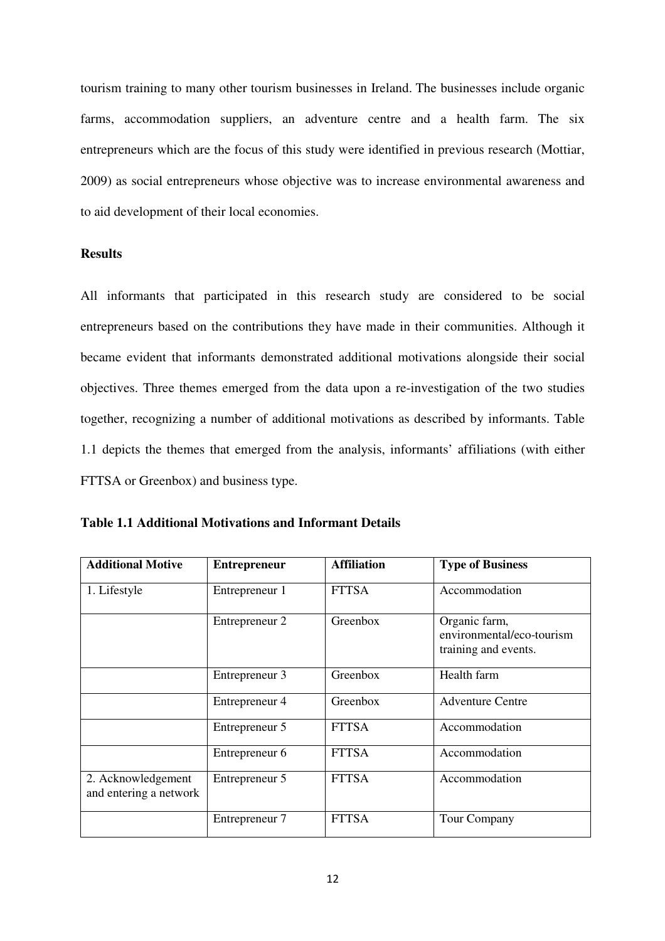tourism training to many other tourism businesses in Ireland. The businesses include organic farms, accommodation suppliers, an adventure centre and a health farm. The six entrepreneurs which are the focus of this study were identified in previous research (Mottiar, 2009) as social entrepreneurs whose objective was to increase environmental awareness and to aid development of their local economies.

## **Results**

All informants that participated in this research study are considered to be social entrepreneurs based on the contributions they have made in their communities. Although it became evident that informants demonstrated additional motivations alongside their social objectives. Three themes emerged from the data upon a re-investigation of the two studies together, recognizing a number of additional motivations as described by informants. Table 1.1 depicts the themes that emerged from the analysis, informants' affiliations (with either FTTSA or Greenbox) and business type.

|  |  |  |  |  | <b>Table 1.1 Additional Motivations and Informant Details</b> |  |
|--|--|--|--|--|---------------------------------------------------------------|--|
|--|--|--|--|--|---------------------------------------------------------------|--|

| <b>Additional Motive</b>                     | <b>Entrepreneur</b> | <b>Affiliation</b> | <b>Type of Business</b>                                            |
|----------------------------------------------|---------------------|--------------------|--------------------------------------------------------------------|
| 1. Lifestyle                                 | Entrepreneur 1      | <b>FTTSA</b>       | Accommodation                                                      |
|                                              | Entrepreneur 2      | Greenbox           | Organic farm,<br>environmental/eco-tourism<br>training and events. |
|                                              | Entrepreneur 3      | Greenbox           | Health farm                                                        |
|                                              | Entrepreneur 4      | Greenbox           | <b>Adventure Centre</b>                                            |
|                                              | Entrepreneur 5      | <b>FTTSA</b>       | Accommodation                                                      |
|                                              | Entrepreneur 6      | <b>FTTSA</b>       | Accommodation                                                      |
| 2. Acknowledgement<br>and entering a network | Entrepreneur 5      | <b>FTTSA</b>       | Accommodation                                                      |
|                                              | Entrepreneur 7      | <b>FTTSA</b>       | Tour Company                                                       |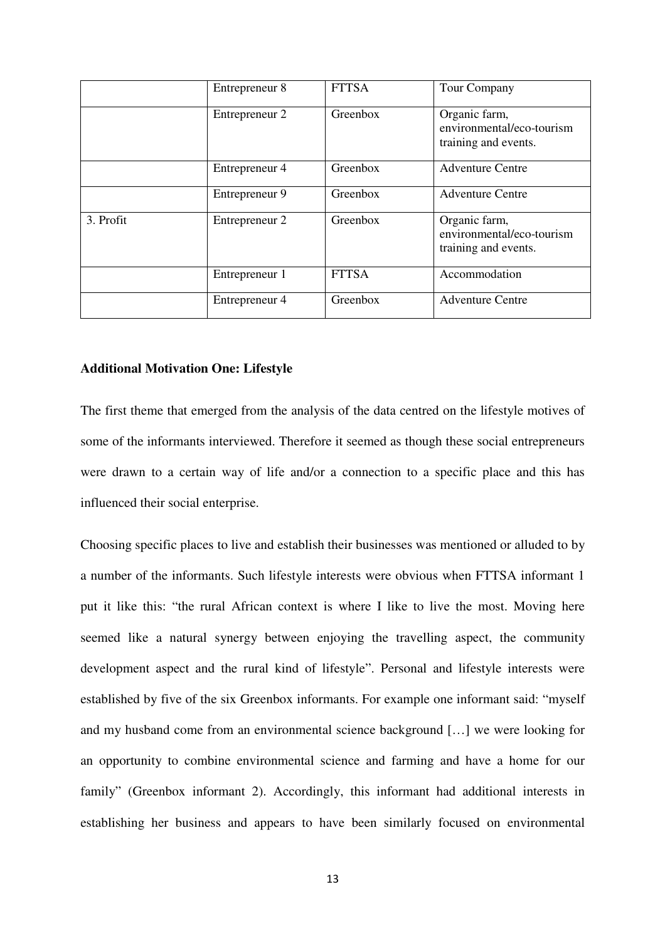|           | Entrepreneur 8 | <b>FTTSA</b> | Tour Company                                                       |
|-----------|----------------|--------------|--------------------------------------------------------------------|
|           | Entrepreneur 2 | Greenbox     | Organic farm,<br>environmental/eco-tourism<br>training and events. |
|           | Entrepreneur 4 | Greenbox     | <b>Adventure Centre</b>                                            |
|           | Entrepreneur 9 | Greenbox     | <b>Adventure Centre</b>                                            |
| 3. Profit | Entrepreneur 2 | Greenbox     | Organic farm,<br>environmental/eco-tourism<br>training and events. |
|           | Entrepreneur 1 | <b>FTTSA</b> | Accommodation                                                      |
|           | Entrepreneur 4 | Greenbox     | <b>Adventure Centre</b>                                            |

#### **Additional Motivation One: Lifestyle**

The first theme that emerged from the analysis of the data centred on the lifestyle motives of some of the informants interviewed. Therefore it seemed as though these social entrepreneurs were drawn to a certain way of life and/or a connection to a specific place and this has influenced their social enterprise.

Choosing specific places to live and establish their businesses was mentioned or alluded to by a number of the informants. Such lifestyle interests were obvious when FTTSA informant 1 put it like this: "the rural African context is where I like to live the most. Moving here seemed like a natural synergy between enjoying the travelling aspect, the community development aspect and the rural kind of lifestyle". Personal and lifestyle interests were established by five of the six Greenbox informants. For example one informant said: "myself and my husband come from an environmental science background […] we were looking for an opportunity to combine environmental science and farming and have a home for our family" (Greenbox informant 2). Accordingly, this informant had additional interests in establishing her business and appears to have been similarly focused on environmental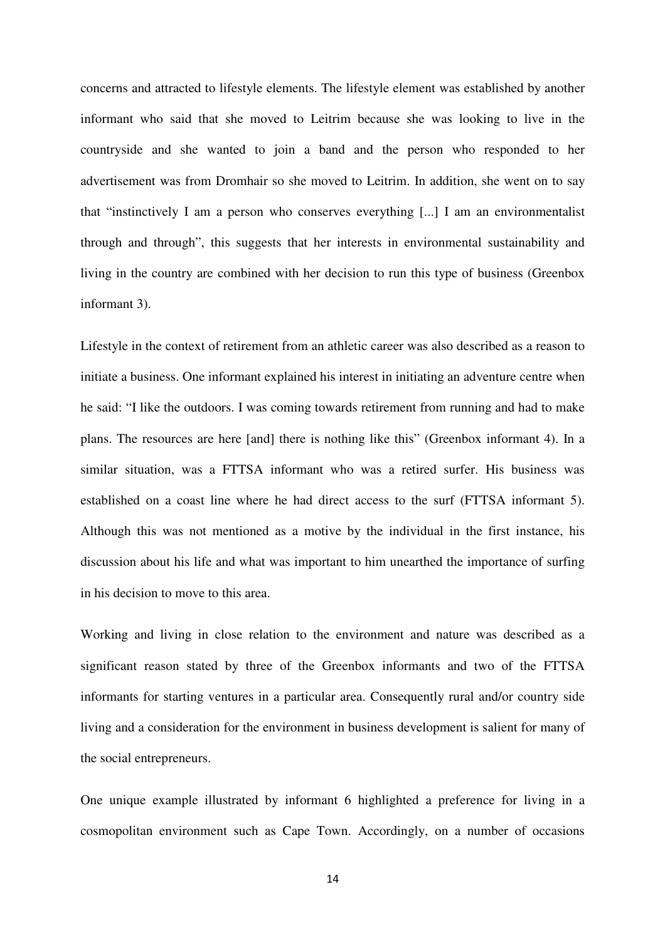concerns and attracted to lifestyle elements. The lifestyle element was established by another informant who said that she moved to Leitrim because she was looking to live in the countryside and she wanted to join a band and the person who responded to her advertisement was from Dromhair so she moved to Leitrim. In addition, she went on to say that "instinctively I am a person who conserves everything [...] I am an environmentalist through and through", this suggests that her interests in environmental sustainability and living in the country are combined with her decision to run this type of business (Greenbox informant 3).

Lifestyle in the context of retirement from an athletic career was also described as a reason to initiate a business. One informant explained his interest in initiating an adventure centre when he said: "I like the outdoors. I was coming towards retirement from running and had to make plans. The resources are here [and] there is nothing like this" (Greenbox informant 4). In a similar situation, was a FTTSA informant who was a retired surfer. His business was established on a coast line where he had direct access to the surf (FTTSA informant 5). Although this was not mentioned as a motive by the individual in the first instance, his discussion about his life and what was important to him unearthed the importance of surfing in his decision to move to this area.

Working and living in close relation to the environment and nature was described as a significant reason stated by three of the Greenbox informants and two of the FTTSA informants for starting ventures in a particular area. Consequently rural and/or country side living and a consideration for the environment in business development is salient for many of the social entrepreneurs.

One unique example illustrated by informant 6 highlighted a preference for living in a cosmopolitan environment such as Cape Town. Accordingly, on a number of occasions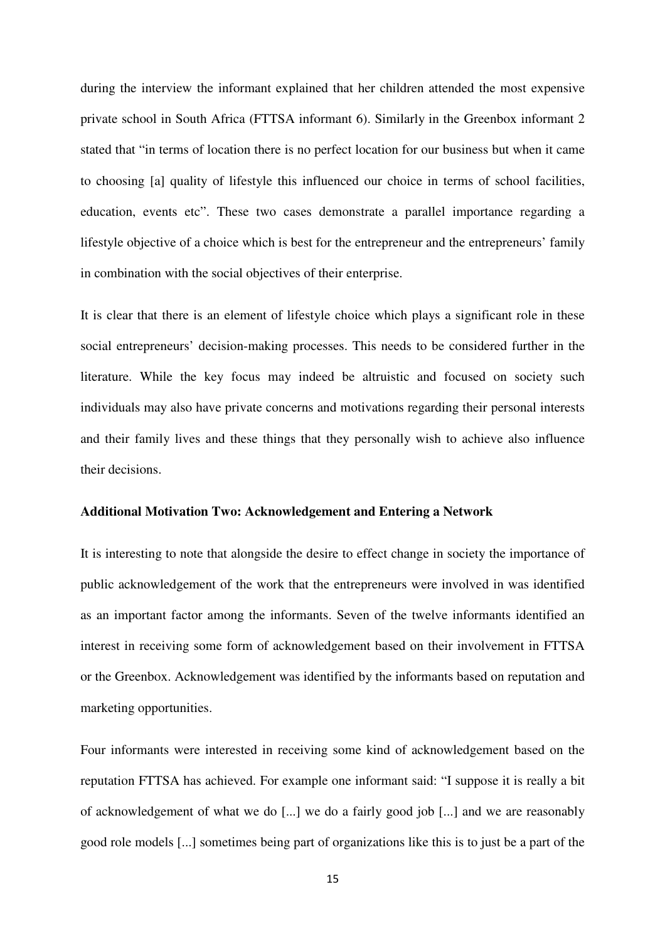during the interview the informant explained that her children attended the most expensive private school in South Africa (FTTSA informant 6). Similarly in the Greenbox informant 2 stated that "in terms of location there is no perfect location for our business but when it came to choosing [a] quality of lifestyle this influenced our choice in terms of school facilities, education, events etc". These two cases demonstrate a parallel importance regarding a lifestyle objective of a choice which is best for the entrepreneur and the entrepreneurs' family in combination with the social objectives of their enterprise.

It is clear that there is an element of lifestyle choice which plays a significant role in these social entrepreneurs' decision-making processes. This needs to be considered further in the literature. While the key focus may indeed be altruistic and focused on society such individuals may also have private concerns and motivations regarding their personal interests and their family lives and these things that they personally wish to achieve also influence their decisions.

#### **Additional Motivation Two: Acknowledgement and Entering a Network**

It is interesting to note that alongside the desire to effect change in society the importance of public acknowledgement of the work that the entrepreneurs were involved in was identified as an important factor among the informants. Seven of the twelve informants identified an interest in receiving some form of acknowledgement based on their involvement in FTTSA or the Greenbox. Acknowledgement was identified by the informants based on reputation and marketing opportunities.

Four informants were interested in receiving some kind of acknowledgement based on the reputation FTTSA has achieved. For example one informant said: "I suppose it is really a bit of acknowledgement of what we do [...] we do a fairly good job [...] and we are reasonably good role models [...] sometimes being part of organizations like this is to just be a part of the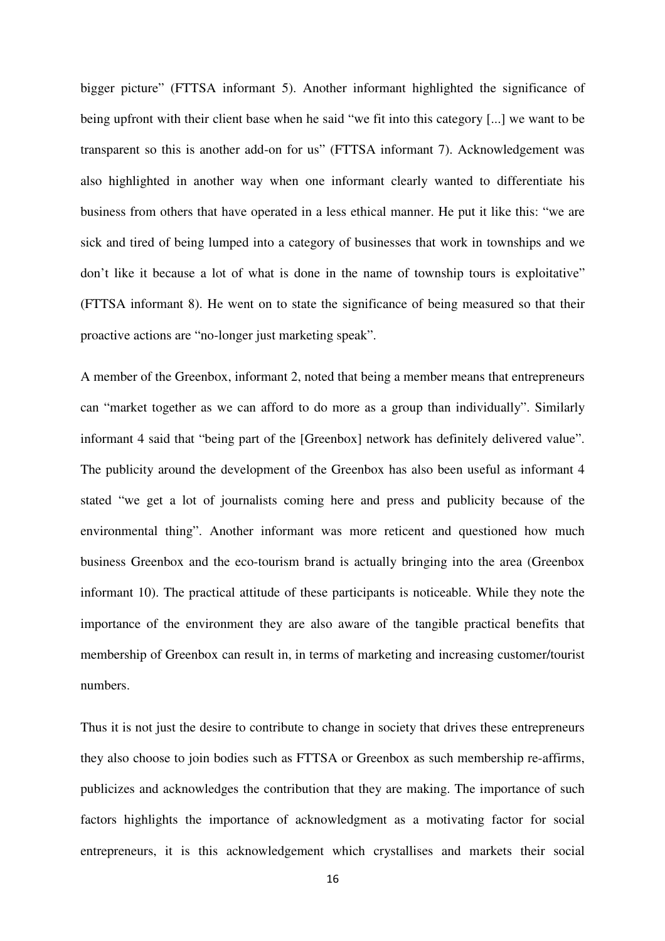bigger picture" (FTTSA informant 5). Another informant highlighted the significance of being upfront with their client base when he said "we fit into this category [...] we want to be transparent so this is another add-on for us" (FTTSA informant 7). Acknowledgement was also highlighted in another way when one informant clearly wanted to differentiate his business from others that have operated in a less ethical manner. He put it like this: "we are sick and tired of being lumped into a category of businesses that work in townships and we don't like it because a lot of what is done in the name of township tours is exploitative" (FTTSA informant 8). He went on to state the significance of being measured so that their proactive actions are "no-longer just marketing speak".

A member of the Greenbox, informant 2, noted that being a member means that entrepreneurs can "market together as we can afford to do more as a group than individually". Similarly informant 4 said that "being part of the [Greenbox] network has definitely delivered value". The publicity around the development of the Greenbox has also been useful as informant 4 stated "we get a lot of journalists coming here and press and publicity because of the environmental thing". Another informant was more reticent and questioned how much business Greenbox and the eco-tourism brand is actually bringing into the area (Greenbox informant 10). The practical attitude of these participants is noticeable. While they note the importance of the environment they are also aware of the tangible practical benefits that membership of Greenbox can result in, in terms of marketing and increasing customer/tourist numbers.

Thus it is not just the desire to contribute to change in society that drives these entrepreneurs they also choose to join bodies such as FTTSA or Greenbox as such membership re-affirms, publicizes and acknowledges the contribution that they are making. The importance of such factors highlights the importance of acknowledgment as a motivating factor for social entrepreneurs, it is this acknowledgement which crystallises and markets their social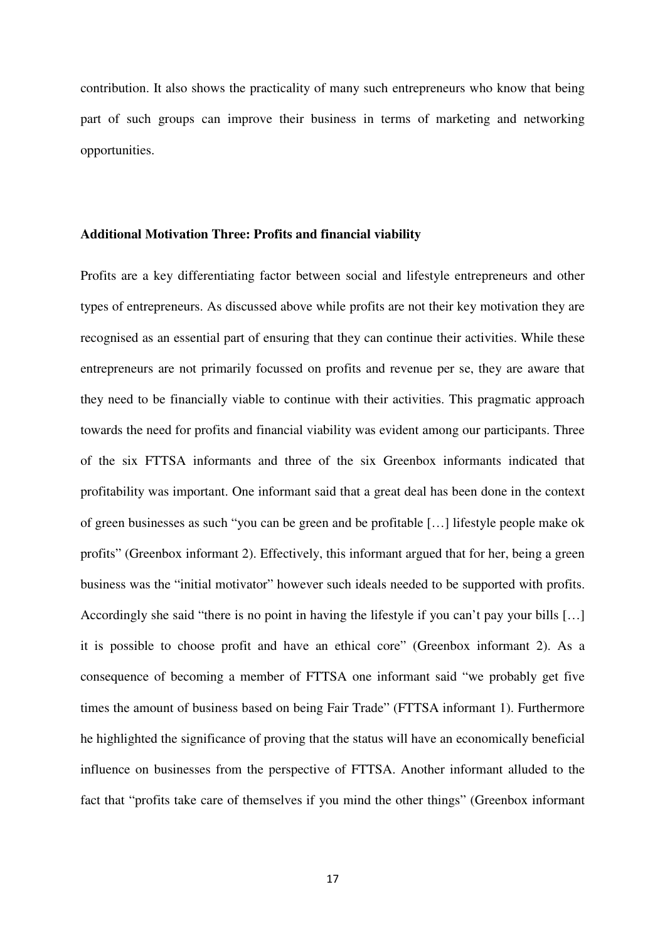contribution. It also shows the practicality of many such entrepreneurs who know that being part of such groups can improve their business in terms of marketing and networking opportunities.

#### **Additional Motivation Three: Profits and financial viability**

Profits are a key differentiating factor between social and lifestyle entrepreneurs and other types of entrepreneurs. As discussed above while profits are not their key motivation they are recognised as an essential part of ensuring that they can continue their activities. While these entrepreneurs are not primarily focussed on profits and revenue per se, they are aware that they need to be financially viable to continue with their activities. This pragmatic approach towards the need for profits and financial viability was evident among our participants. Three of the six FTTSA informants and three of the six Greenbox informants indicated that profitability was important. One informant said that a great deal has been done in the context of green businesses as such "you can be green and be profitable […] lifestyle people make ok profits" (Greenbox informant 2). Effectively, this informant argued that for her, being a green business was the "initial motivator" however such ideals needed to be supported with profits. Accordingly she said "there is no point in having the lifestyle if you can't pay your bills […] it is possible to choose profit and have an ethical core" (Greenbox informant 2). As a consequence of becoming a member of FTTSA one informant said "we probably get five times the amount of business based on being Fair Trade" (FTTSA informant 1). Furthermore he highlighted the significance of proving that the status will have an economically beneficial influence on businesses from the perspective of FTTSA. Another informant alluded to the fact that "profits take care of themselves if you mind the other things" (Greenbox informant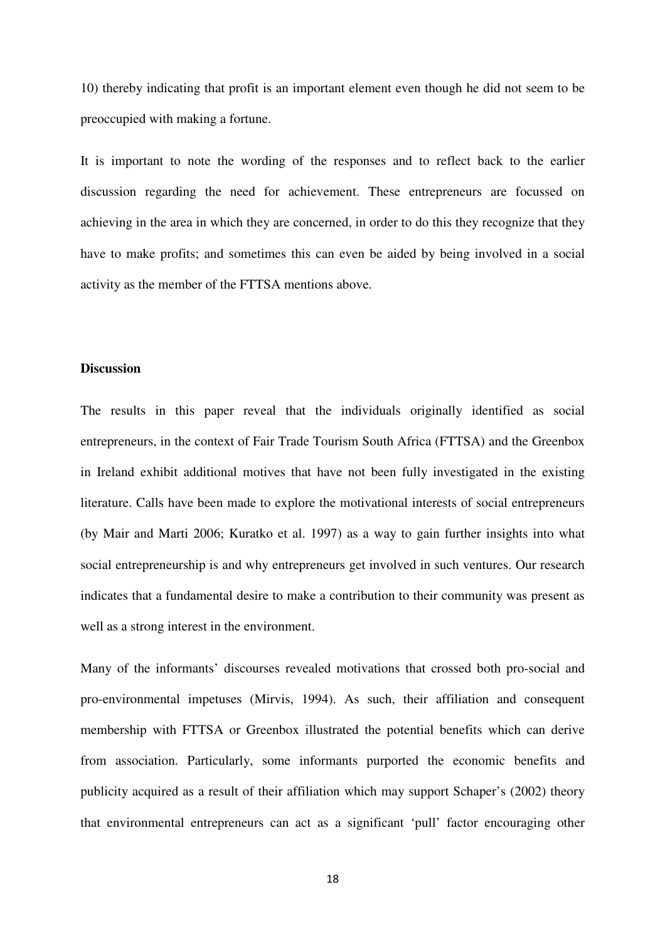10) thereby indicating that profit is an important element even though he did not seem to be preoccupied with making a fortune.

It is important to note the wording of the responses and to reflect back to the earlier discussion regarding the need for achievement. These entrepreneurs are focussed on achieving in the area in which they are concerned, in order to do this they recognize that they have to make profits; and sometimes this can even be aided by being involved in a social activity as the member of the FTTSA mentions above.

#### **Discussion**

The results in this paper reveal that the individuals originally identified as social entrepreneurs, in the context of Fair Trade Tourism South Africa (FTTSA) and the Greenbox in Ireland exhibit additional motives that have not been fully investigated in the existing literature. Calls have been made to explore the motivational interests of social entrepreneurs (by Mair and Marti 2006; Kuratko et al. 1997) as a way to gain further insights into what social entrepreneurship is and why entrepreneurs get involved in such ventures. Our research indicates that a fundamental desire to make a contribution to their community was present as well as a strong interest in the environment.

Many of the informants' discourses revealed motivations that crossed both pro-social and pro-environmental impetuses (Mirvis, 1994). As such, their affiliation and consequent membership with FTTSA or Greenbox illustrated the potential benefits which can derive from association. Particularly, some informants purported the economic benefits and publicity acquired as a result of their affiliation which may support Schaper's (2002) theory that environmental entrepreneurs can act as a significant 'pull' factor encouraging other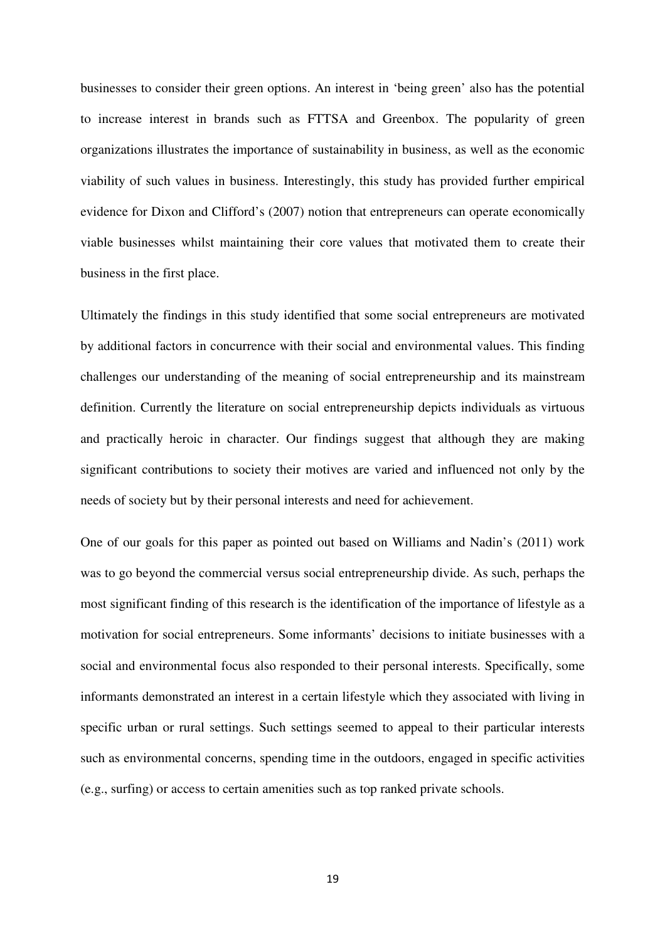businesses to consider their green options. An interest in 'being green' also has the potential to increase interest in brands such as FTTSA and Greenbox. The popularity of green organizations illustrates the importance of sustainability in business, as well as the economic viability of such values in business. Interestingly, this study has provided further empirical evidence for Dixon and Clifford's (2007) notion that entrepreneurs can operate economically viable businesses whilst maintaining their core values that motivated them to create their business in the first place.

Ultimately the findings in this study identified that some social entrepreneurs are motivated by additional factors in concurrence with their social and environmental values. This finding challenges our understanding of the meaning of social entrepreneurship and its mainstream definition. Currently the literature on social entrepreneurship depicts individuals as virtuous and practically heroic in character. Our findings suggest that although they are making significant contributions to society their motives are varied and influenced not only by the needs of society but by their personal interests and need for achievement.

One of our goals for this paper as pointed out based on Williams and Nadin's (2011) work was to go beyond the commercial versus social entrepreneurship divide. As such, perhaps the most significant finding of this research is the identification of the importance of lifestyle as a motivation for social entrepreneurs. Some informants' decisions to initiate businesses with a social and environmental focus also responded to their personal interests. Specifically, some informants demonstrated an interest in a certain lifestyle which they associated with living in specific urban or rural settings. Such settings seemed to appeal to their particular interests such as environmental concerns, spending time in the outdoors, engaged in specific activities (e.g., surfing) or access to certain amenities such as top ranked private schools.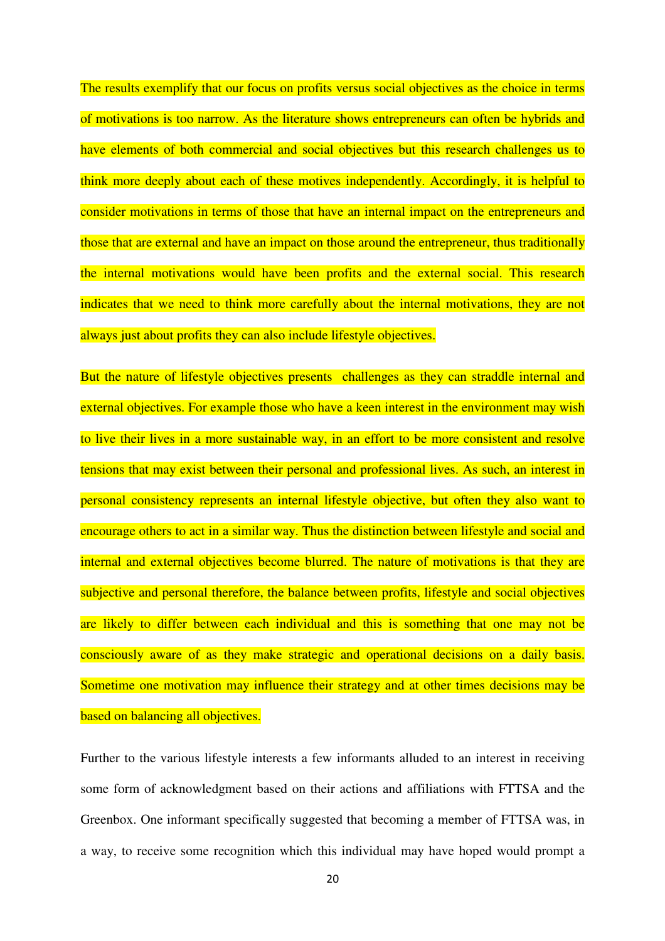The results exemplify that our focus on profits versus social objectives as the choice in terms of motivations is too narrow. As the literature shows entrepreneurs can often be hybrids and have elements of both commercial and social objectives but this research challenges us to think more deeply about each of these motives independently. Accordingly, it is helpful to consider motivations in terms of those that have an internal impact on the entrepreneurs and those that are external and have an impact on those around the entrepreneur, thus traditionally the internal motivations would have been profits and the external social. This research indicates that we need to think more carefully about the internal motivations, they are not always just about profits they can also include lifestyle objectives.

But the nature of lifestyle objectives presents challenges as they can straddle internal and external objectives. For example those who have a keen interest in the environment may wish to live their lives in a more sustainable way, in an effort to be more consistent and resolve tensions that may exist between their personal and professional lives. As such, an interest in personal consistency represents an internal lifestyle objective, but often they also want to encourage others to act in a similar way. Thus the distinction between lifestyle and social and internal and external objectives become blurred. The nature of motivations is that they are subjective and personal therefore, the balance between profits, lifestyle and social objectives are likely to differ between each individual and this is something that one may not be consciously aware of as they make strategic and operational decisions on a daily basis. Sometime one motivation may influence their strategy and at other times decisions may be based on balancing all objectives.

Further to the various lifestyle interests a few informants alluded to an interest in receiving some form of acknowledgment based on their actions and affiliations with FTTSA and the Greenbox. One informant specifically suggested that becoming a member of FTTSA was, in a way, to receive some recognition which this individual may have hoped would prompt a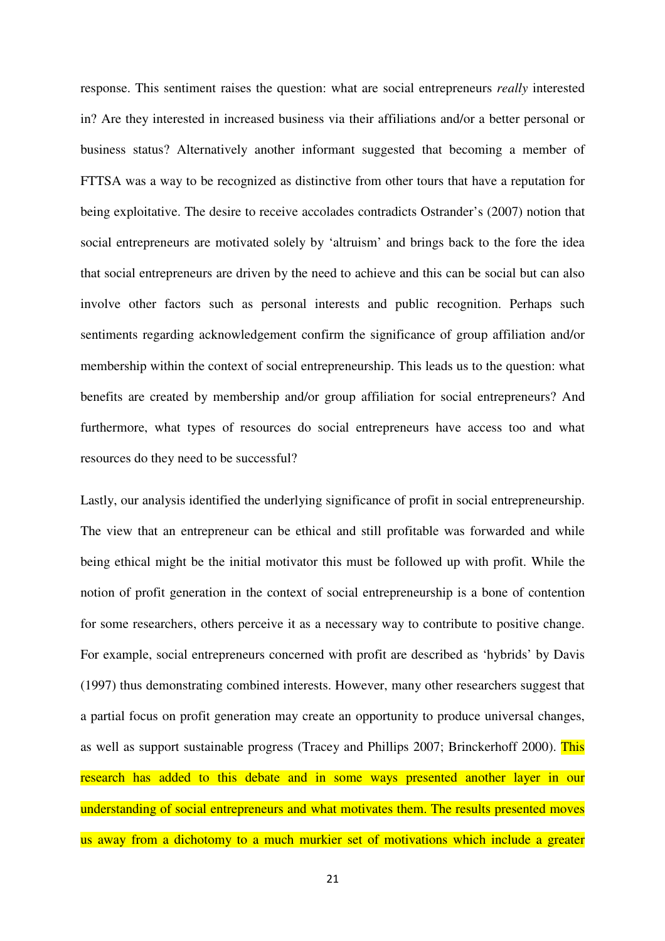response. This sentiment raises the question: what are social entrepreneurs *really* interested in? Are they interested in increased business via their affiliations and/or a better personal or business status? Alternatively another informant suggested that becoming a member of FTTSA was a way to be recognized as distinctive from other tours that have a reputation for being exploitative. The desire to receive accolades contradicts Ostrander's (2007) notion that social entrepreneurs are motivated solely by 'altruism' and brings back to the fore the idea that social entrepreneurs are driven by the need to achieve and this can be social but can also involve other factors such as personal interests and public recognition. Perhaps such sentiments regarding acknowledgement confirm the significance of group affiliation and/or membership within the context of social entrepreneurship. This leads us to the question: what benefits are created by membership and/or group affiliation for social entrepreneurs? And furthermore, what types of resources do social entrepreneurs have access too and what resources do they need to be successful?

Lastly, our analysis identified the underlying significance of profit in social entrepreneurship. The view that an entrepreneur can be ethical and still profitable was forwarded and while being ethical might be the initial motivator this must be followed up with profit. While the notion of profit generation in the context of social entrepreneurship is a bone of contention for some researchers, others perceive it as a necessary way to contribute to positive change. For example, social entrepreneurs concerned with profit are described as 'hybrids' by Davis (1997) thus demonstrating combined interests. However, many other researchers suggest that a partial focus on profit generation may create an opportunity to produce universal changes, as well as support sustainable progress (Tracey and Phillips 2007; Brinckerhoff 2000). This research has added to this debate and in some ways presented another layer in our understanding of social entrepreneurs and what motivates them. The results presented moves us away from a dichotomy to a much murkier set of motivations which include a greater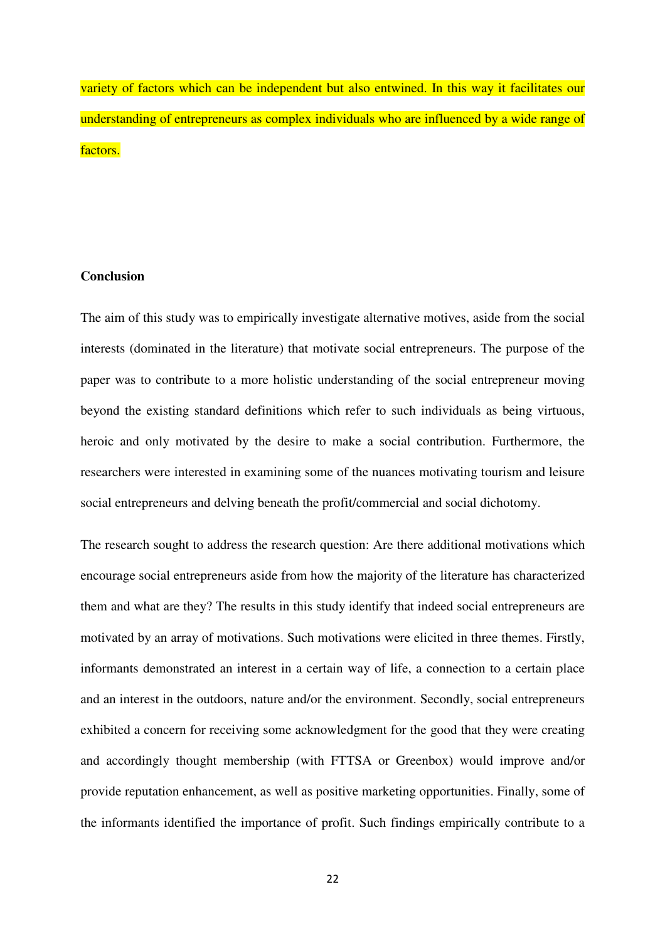variety of factors which can be independent but also entwined. In this way it facilitates our understanding of entrepreneurs as complex individuals who are influenced by a wide range of factors.

## **Conclusion**

The aim of this study was to empirically investigate alternative motives, aside from the social interests (dominated in the literature) that motivate social entrepreneurs. The purpose of the paper was to contribute to a more holistic understanding of the social entrepreneur moving beyond the existing standard definitions which refer to such individuals as being virtuous, heroic and only motivated by the desire to make a social contribution. Furthermore, the researchers were interested in examining some of the nuances motivating tourism and leisure social entrepreneurs and delving beneath the profit/commercial and social dichotomy.

The research sought to address the research question: Are there additional motivations which encourage social entrepreneurs aside from how the majority of the literature has characterized them and what are they? The results in this study identify that indeed social entrepreneurs are motivated by an array of motivations. Such motivations were elicited in three themes. Firstly, informants demonstrated an interest in a certain way of life, a connection to a certain place and an interest in the outdoors, nature and/or the environment. Secondly, social entrepreneurs exhibited a concern for receiving some acknowledgment for the good that they were creating and accordingly thought membership (with FTTSA or Greenbox) would improve and/or provide reputation enhancement, as well as positive marketing opportunities. Finally, some of the informants identified the importance of profit. Such findings empirically contribute to a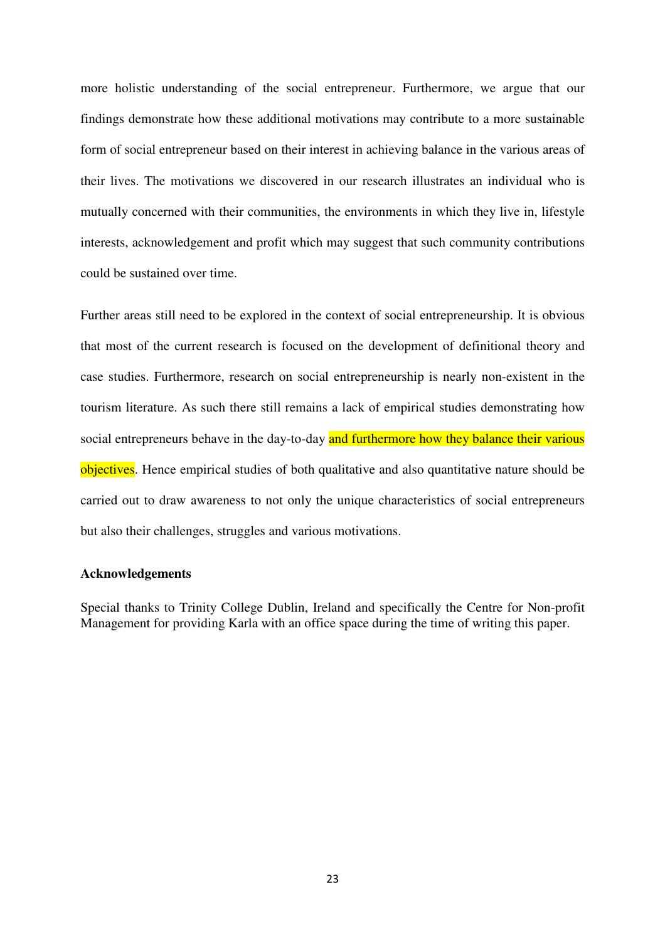more holistic understanding of the social entrepreneur. Furthermore, we argue that our findings demonstrate how these additional motivations may contribute to a more sustainable form of social entrepreneur based on their interest in achieving balance in the various areas of their lives. The motivations we discovered in our research illustrates an individual who is mutually concerned with their communities, the environments in which they live in, lifestyle interests, acknowledgement and profit which may suggest that such community contributions could be sustained over time.

Further areas still need to be explored in the context of social entrepreneurship. It is obvious that most of the current research is focused on the development of definitional theory and case studies. Furthermore, research on social entrepreneurship is nearly non-existent in the tourism literature. As such there still remains a lack of empirical studies demonstrating how social entrepreneurs behave in the day-to-day and furthermore how they balance their various objectives. Hence empirical studies of both qualitative and also quantitative nature should be carried out to draw awareness to not only the unique characteristics of social entrepreneurs but also their challenges, struggles and various motivations.

#### **Acknowledgements**

Special thanks to Trinity College Dublin, Ireland and specifically the Centre for Non-profit Management for providing Karla with an office space during the time of writing this paper.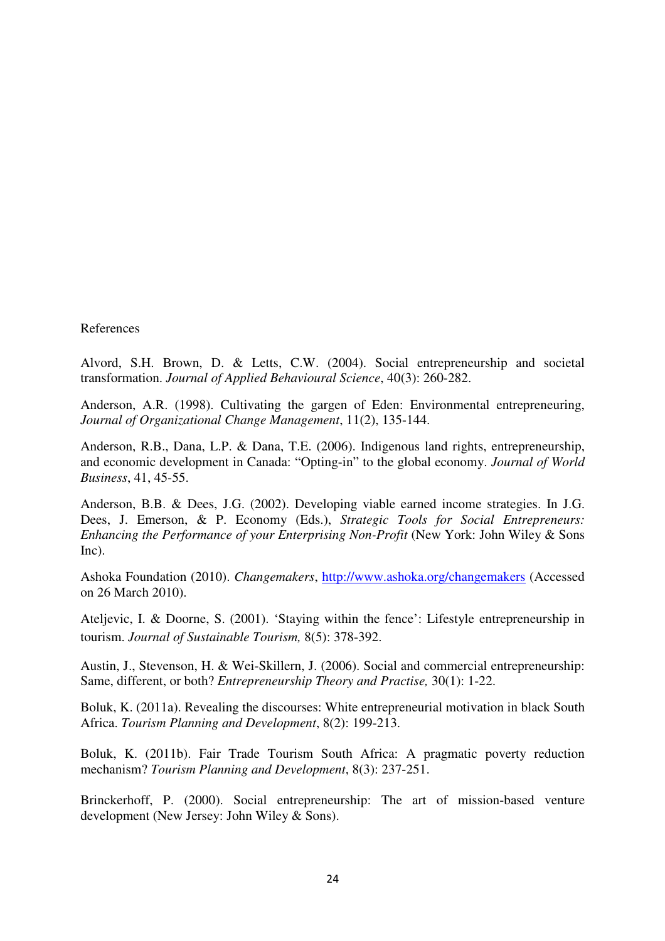References

Alvord, S.H. Brown, D. & Letts, C.W. (2004). Social entrepreneurship and societal transformation. *Journal of Applied Behavioural Science*, 40(3): 260-282.

Anderson, A.R. (1998). Cultivating the gargen of Eden: Environmental entrepreneuring, *Journal of Organizational Change Management*, 11(2), 135-144.

Anderson, R.B., Dana, L.P. & Dana, T.E. (2006). Indigenous land rights, entrepreneurship, and economic development in Canada: "Opting-in" to the global economy. *Journal of World Business*, 41, 45-55.

Anderson, B.B. & Dees, J.G. (2002). Developing viable earned income strategies. In J.G. Dees, J. Emerson, & P. Economy (Eds.), *Strategic Tools for Social Entrepreneurs: Enhancing the Performance of your Enterprising Non-Profit* (New York: John Wiley & Sons Inc).

Ashoka Foundation (2010). *Changemakers*, http://www.ashoka.org/changemakers (Accessed on 26 March 2010).

Ateljevic, I. & Doorne, S. (2001). 'Staying within the fence': Lifestyle entrepreneurship in tourism. *Journal of Sustainable Tourism,* 8(5): 378-392.

Austin, J., Stevenson, H. & Wei-Skillern, J. (2006). Social and commercial entrepreneurship: Same, different, or both? *Entrepreneurship Theory and Practise,* 30(1): 1-22.

Boluk, K. (2011a). Revealing the discourses: White entrepreneurial motivation in black South Africa. *Tourism Planning and Development*, 8(2): 199-213.

Boluk, K. (2011b). Fair Trade Tourism South Africa: A pragmatic poverty reduction mechanism? *Tourism Planning and Development*, 8(3): 237-251.

Brinckerhoff, P. (2000). Social entrepreneurship: The art of mission-based venture development (New Jersey: John Wiley & Sons).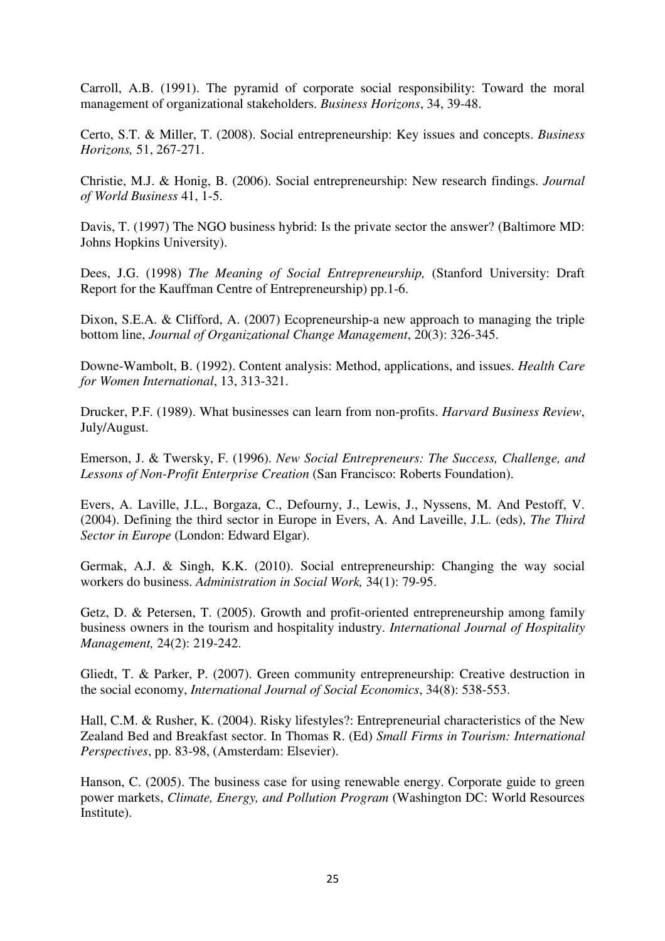Carroll, A.B. (1991). The pyramid of corporate social responsibility: Toward the moral management of organizational stakeholders. *Business Horizons*, 34, 39-48.

Certo, S.T. & Miller, T. (2008). Social entrepreneurship: Key issues and concepts. *Business Horizons,* 51, 267-271.

Christie, M.J. & Honig, B. (2006). Social entrepreneurship: New research findings. *Journal of World Business* 41, 1-5.

Davis, T. (1997) The NGO business hybrid: Is the private sector the answer? (Baltimore MD: Johns Hopkins University).

Dees, J.G. (1998) *The Meaning of Social Entrepreneurship,* (Stanford University: Draft Report for the Kauffman Centre of Entrepreneurship) pp.1-6.

Dixon, S.E.A. & Clifford, A. (2007) Ecopreneurship-a new approach to managing the triple bottom line, *Journal of Organizational Change Management*, 20(3): 326-345.

Downe-Wambolt, B. (1992). Content analysis: Method, applications, and issues. *Health Care for Women International*, 13, 313-321.

Drucker, P.F. (1989). What businesses can learn from non-profits. *Harvard Business Review*, July/August.

Emerson, J. & Twersky, F. (1996). *New Social Entrepreneurs: The Success, Challenge, and Lessons of Non-Profit Enterprise Creation* (San Francisco: Roberts Foundation).

Evers, A. Laville, J.L., Borgaza, C., Defourny, J., Lewis, J., Nyssens, M. And Pestoff, V. (2004). Defining the third sector in Europe in Evers, A. And Laveille, J.L. (eds), *The Third Sector in Europe* (London: Edward Elgar).

Germak, A.J. & Singh, K.K. (2010). Social entrepreneurship: Changing the way social workers do business. *Administration in Social Work,* 34(1): 79-95.

Getz, D. & Petersen, T. (2005). Growth and profit-oriented entrepreneurship among family business owners in the tourism and hospitality industry. *International Journal of Hospitality Management,* 24(2): 219-242.

Gliedt, T. & Parker, P. (2007). Green community entrepreneurship: Creative destruction in the social economy, *International Journal of Social Economics*, 34(8): 538-553.

Hall, C.M. & Rusher, K. (2004). Risky lifestyles?: Entrepreneurial characteristics of the New Zealand Bed and Breakfast sector. In Thomas R. (Ed) *Small Firms in Tourism: International Perspectives*, pp. 83-98, (Amsterdam: Elsevier).

Hanson, C. (2005). The business case for using renewable energy. Corporate guide to green power markets, *Climate, Energy, and Pollution Program* (Washington DC: World Resources Institute).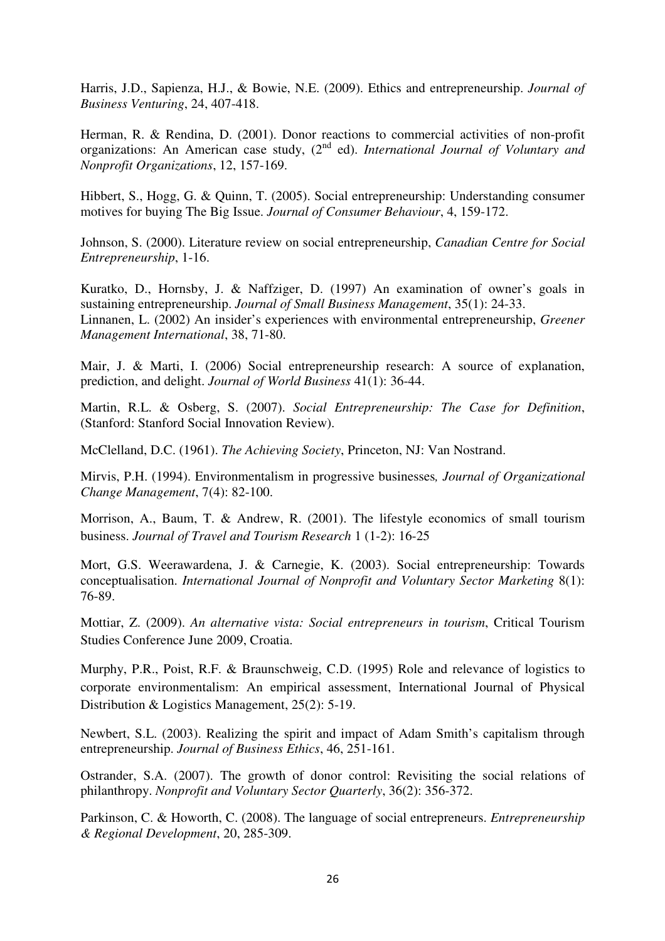Harris, J.D., Sapienza, H.J., & Bowie, N.E. (2009). Ethics and entrepreneurship. *Journal of Business Venturing*, 24, 407-418.

Herman, R. & Rendina, D. (2001). Donor reactions to commercial activities of non-profit organizations: An American case study, (2<sup>nd</sup> ed). *International Journal of Voluntary and Nonprofit Organizations*, 12, 157-169.

Hibbert, S., Hogg, G. & Quinn, T. (2005). Social entrepreneurship: Understanding consumer motives for buying The Big Issue. *Journal of Consumer Behaviour*, 4, 159-172.

Johnson, S. (2000). Literature review on social entrepreneurship, *Canadian Centre for Social Entrepreneurship*, 1-16.

Kuratko, D., Hornsby, J. & Naffziger, D. (1997) An examination of owner's goals in sustaining entrepreneurship. *Journal of Small Business Management*, 35(1): 24-33. Linnanen, L. (2002) An insider's experiences with environmental entrepreneurship, *Greener Management International*, 38, 71-80.

Mair, J. & Marti, I. (2006) Social entrepreneurship research: A source of explanation, prediction, and delight. *Journal of World Business* 41(1): 36-44.

Martin, R.L. & Osberg, S. (2007). *Social Entrepreneurship: The Case for Definition*, (Stanford: Stanford Social Innovation Review).

McClelland, D.C. (1961). *The Achieving Society*, Princeton, NJ: Van Nostrand.

Mirvis, P.H. (1994). Environmentalism in progressive businesses*, Journal of Organizational Change Management*, 7(4): 82-100.

Morrison, A., Baum, T. & Andrew, R. (2001). The lifestyle economics of small tourism business. *Journal of Travel and Tourism Research* 1 (1-2): 16-25

Mort, G.S. Weerawardena, J. & Carnegie, K. (2003). Social entrepreneurship: Towards conceptualisation. *International Journal of Nonprofit and Voluntary Sector Marketing* 8(1): 76-89.

Mottiar, Z. (2009). *An alternative vista: Social entrepreneurs in tourism*, Critical Tourism Studies Conference June 2009, Croatia.

Murphy, P.R., Poist, R.F. & Braunschweig, C.D. (1995) Role and relevance of logistics to corporate environmentalism: An empirical assessment, International Journal of Physical Distribution & Logistics Management, 25(2): 5-19.

Newbert, S.L. (2003). Realizing the spirit and impact of Adam Smith's capitalism through entrepreneurship. *Journal of Business Ethics*, 46, 251-161.

Ostrander, S.A. (2007). The growth of donor control: Revisiting the social relations of philanthropy. *Nonprofit and Voluntary Sector Quarterly*, 36(2): 356-372.

Parkinson, C. & Howorth, C. (2008). The language of social entrepreneurs. *Entrepreneurship & Regional Development*, 20, 285-309.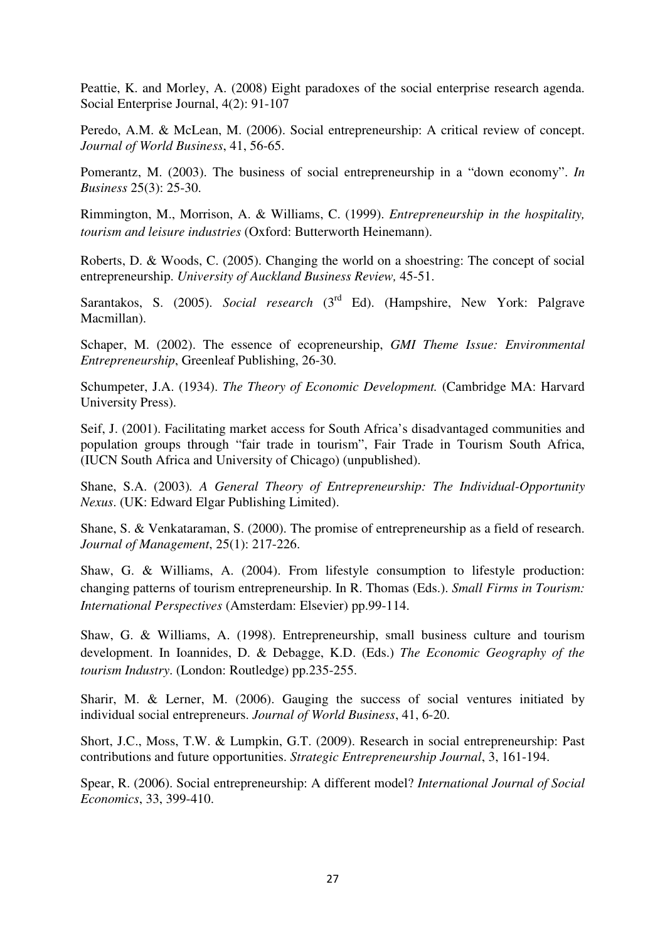Peattie, K. and Morley, A. (2008) Eight paradoxes of the social enterprise research agenda. Social Enterprise Journal, 4(2): 91-107

Peredo, A.M. & McLean, M. (2006). Social entrepreneurship: A critical review of concept. *Journal of World Business*, 41, 56-65.

Pomerantz, M. (2003). The business of social entrepreneurship in a "down economy". *In Business* 25(3): 25-30.

Rimmington, M., Morrison, A. & Williams, C. (1999). *Entrepreneurship in the hospitality, tourism and leisure industries* (Oxford: Butterworth Heinemann).

Roberts, D. & Woods, C. (2005). Changing the world on a shoestring: The concept of social entrepreneurship. *University of Auckland Business Review,* 45-51.

Sarantakos, S. (2005). *Social research* (3<sup>rd</sup> Ed). (Hampshire, New York: Palgrave Macmillan).

Schaper, M. (2002). The essence of ecopreneurship, *GMI Theme Issue: Environmental Entrepreneurship*, Greenleaf Publishing, 26-30.

Schumpeter, J.A. (1934). *The Theory of Economic Development.* (Cambridge MA: Harvard University Press).

Seif, J. (2001). Facilitating market access for South Africa's disadvantaged communities and population groups through "fair trade in tourism", Fair Trade in Tourism South Africa, (IUCN South Africa and University of Chicago) (unpublished).

Shane, S.A. (2003)*. A General Theory of Entrepreneurship: The Individual-Opportunity Nexus*. (UK: Edward Elgar Publishing Limited).

Shane, S. & Venkataraman, S. (2000). The promise of entrepreneurship as a field of research. *Journal of Management*, 25(1): 217-226.

Shaw, G. & Williams, A. (2004). From lifestyle consumption to lifestyle production: changing patterns of tourism entrepreneurship. In R. Thomas (Eds.). *Small Firms in Tourism: International Perspectives* (Amsterdam: Elsevier) pp.99-114.

Shaw, G. & Williams, A. (1998). Entrepreneurship, small business culture and tourism development. In Ioannides, D. & Debagge, K.D. (Eds.) *The Economic Geography of the tourism Industry*. (London: Routledge) pp.235-255.

Sharir, M. & Lerner, M. (2006). Gauging the success of social ventures initiated by individual social entrepreneurs. *Journal of World Business*, 41, 6-20.

Short, J.C., Moss, T.W. & Lumpkin, G.T. (2009). Research in social entrepreneurship: Past contributions and future opportunities. *Strategic Entrepreneurship Journal*, 3, 161-194.

Spear, R. (2006). Social entrepreneurship: A different model? *International Journal of Social Economics*, 33, 399-410.